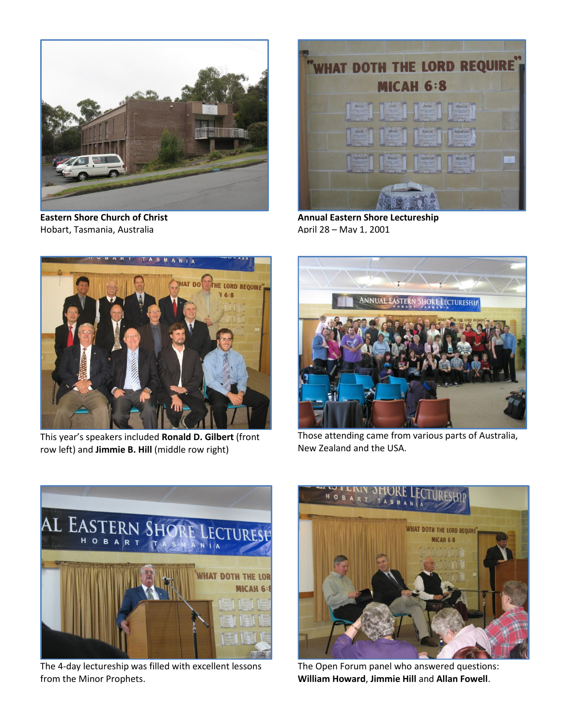

**Eastern Shore Church of Christ** Hobart, Tasmania, Australia



**Annual Eastern Shore Lectureship** April 28 – May 1, 2001



This year's speakers included **Ronald D. Gilbert** (front row left) and **Jimmie B. Hill** (middle row right)



Those attending came from various parts of Australia, New Zealand and the USA.



The 4-day lectureship was filled with excellent lessons from the Minor Prophets.



The Open Forum panel who answered questions: **William Howard**, **Jimmie Hill** and **Allan Fowell**.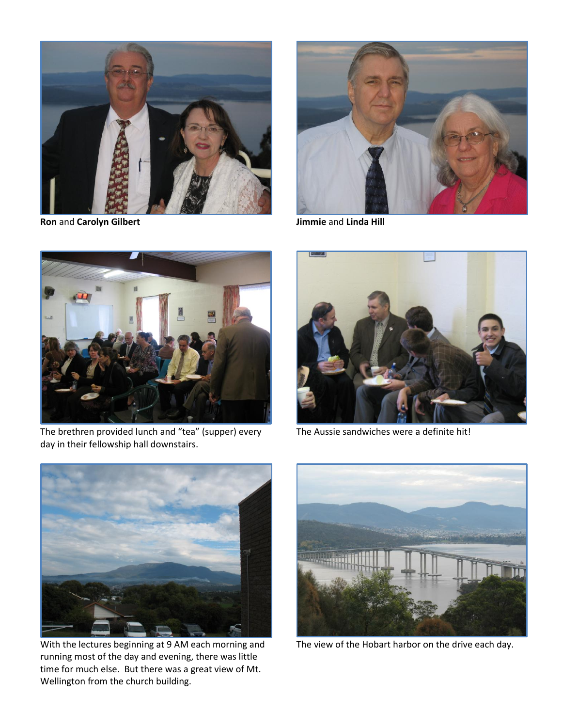

**Ron** and **Carolyn Gilbert Jimmie** and **Linda Hill**





The brethren provided lunch and "tea" (supper) every day in their fellowship hall downstairs.



The Aussie sandwiches were a definite hit!



With the lectures beginning at 9 AM each morning and running most of the day and evening, there was little time for much else. But there was a great view of Mt. Wellington from the church building.



The view of the Hobart harbor on the drive each day.